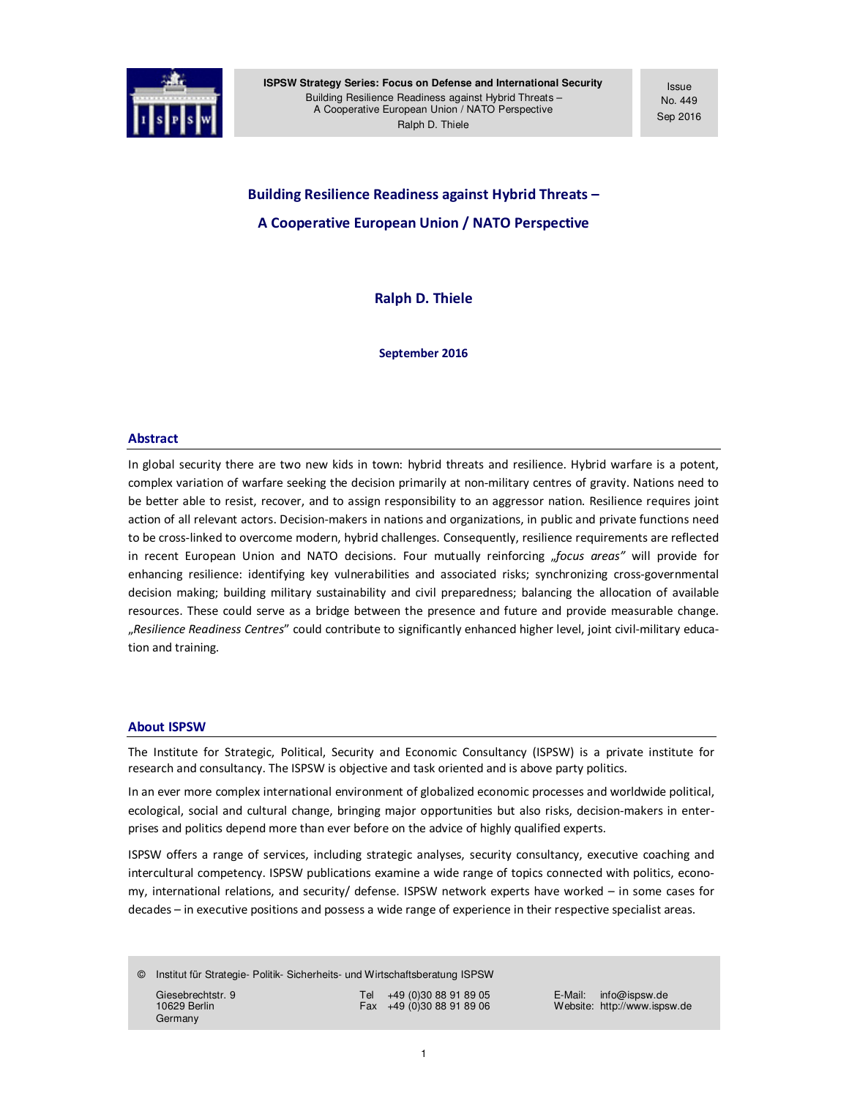

**Issue** No. 449 Sep 2016

**Building Resilience Readiness against Hybrid Threats – A Cooperative European Union / NATO Perspective** 

**Ralph D. Thiele** 

**September 2016** 

### **Abstract**

In global security there are two new kids in town: hybrid threats and resilience. Hybrid warfare is a potent, complex variation of warfare seeking the decision primarily at non-military centres of gravity. Nations need to be better able to resist, recover, and to assign responsibility to an aggressor nation. Resilience requires joint action of all relevant actors. Decision-makers in nations and organizations, in public and private functions need to be cross-linked to overcome modern, hybrid challenges. Consequently, resilience requirements are reflected in recent European Union and NATO decisions. Four mutually reinforcing "*focus areas"* will provide for enhancing resilience: identifying key vulnerabilities and associated risks; synchronizing cross-governmental decision making; building military sustainability and civil preparedness; balancing the allocation of available resources. These could serve as a bridge between the presence and future and provide measurable change. "*Resilience Readiness Centres*" could contribute to significantly enhanced higher level, joint civil-military education and training.

### **About ISPSW**

The Institute for Strategic, Political, Security and Economic Consultancy (ISPSW) is a private institute for research and consultancy. The ISPSW is objective and task oriented and is above party politics.

In an ever more complex international environment of globalized economic processes and worldwide political, ecological, social and cultural change, bringing major opportunities but also risks, decision-makers in enterprises and politics depend more than ever before on the advice of highly qualified experts.

ISPSW offers a range of services, including strategic analyses, security consultancy, executive coaching and intercultural competency. ISPSW publications examine a wide range of topics connected with politics, economy, international relations, and security/ defense. ISPSW network experts have worked – in some cases for decades – in executive positions and possess a wide range of experience in their respective specialist areas.

© Institut für Strategie- Politik- Sicherheits- und Wirtschaftsberatung ISPSW

Germany

Giesebrechtstr. 9 Tel +49 (0)30 88 91 89 05 E-Mail: info@ispsw.de<br>10629 Berlin Tex +49 (0)30 88 91 89 06 Website: http://www.isps

Website: http://www.ispsw.de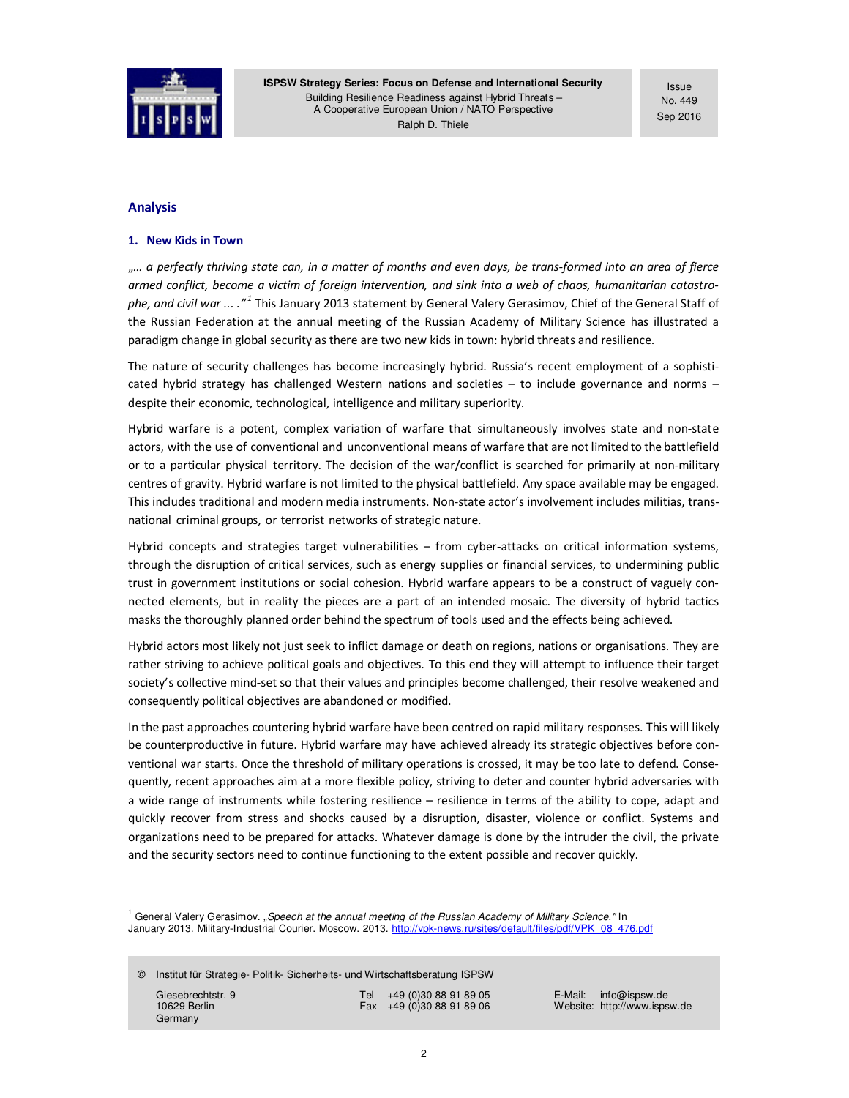

**Issue** No. 449 Sep 2016

## **Analysis**

### **1. New Kids in Town**

"*… a perfectly thriving state can, in a matter of months and even days, be trans-formed into an area of fierce armed conflict, become a victim of foreign intervention, and sink into a web of chaos, humanitarian catastrophe, and civil war ... ."<sup>1</sup>* This January 2013 statement by General Valery Gerasimov, Chief of the General Staff of the Russian Federation at the annual meeting of the Russian Academy of Military Science has illustrated a paradigm change in global security as there are two new kids in town: hybrid threats and resilience.

The nature of security challenges has become increasingly hybrid. Russia's recent employment of a sophisticated hybrid strategy has challenged Western nations and societies  $-$  to include governance and norms  $$ despite their economic, technological, intelligence and military superiority.

Hybrid warfare is a potent, complex variation of warfare that simultaneously involves state and non-state actors, with the use of conventional and unconventional means of warfare that are not limited to the battlefield or to a particular physical territory. The decision of the war/conflict is searched for primarily at non-military centres of gravity. Hybrid warfare is not limited to the physical battlefield. Any space available may be engaged. This includes traditional and modern media instruments. Non-state actor's involvement includes militias, transnational criminal groups, or terrorist networks of strategic nature.

Hybrid concepts and strategies target vulnerabilities – from cyber-attacks on critical information systems, through the disruption of critical services, such as energy supplies or financial services, to undermining public trust in government institutions or social cohesion. Hybrid warfare appears to be a construct of vaguely connected elements, but in reality the pieces are a part of an intended mosaic. The diversity of hybrid tactics masks the thoroughly planned order behind the spectrum of tools used and the effects being achieved.

Hybrid actors most likely not just seek to inflict damage or death on regions, nations or organisations. They are rather striving to achieve political goals and objectives. To this end they will attempt to influence their target society's collective mind-set so that their values and principles become challenged, their resolve weakened and consequently political objectives are abandoned or modified.

In the past approaches countering hybrid warfare have been centred on rapid military responses. This will likely be counterproductive in future. Hybrid warfare may have achieved already its strategic objectives before conventional war starts. Once the threshold of military operations is crossed, it may be too late to defend. Consequently, recent approaches aim at a more flexible policy, striving to deter and counter hybrid adversaries with a wide range of instruments while fostering resilience – resilience in terms of the ability to cope, adapt and quickly recover from stress and shocks caused by a disruption, disaster, violence or conflict. Systems and organizations need to be prepared for attacks. Whatever damage is done by the intruder the civil, the private and the security sectors need to continue functioning to the extent possible and recover quickly.

© Institut für Strategie- Politik- Sicherheits- und Wirtschaftsberatung ISPSW

Germany

l

Giesebrechtstr. 9 Tel +49 (0)30 88 91 89 05 E-Mail: info@ispsw.de<br>10629 Berlin Fax +49 (0)30 88 91 89 06 Website: http://www.isps

<sup>1</sup> General Valery Gerasimov. "*Speech at the annual meeting of the Russian Academy of Military Science."* In January 2013. Military-Industrial Courier. Moscow. 2013. http://vpk-news.ru/sites/default/files/pdf/VPK\_08\_476.pdf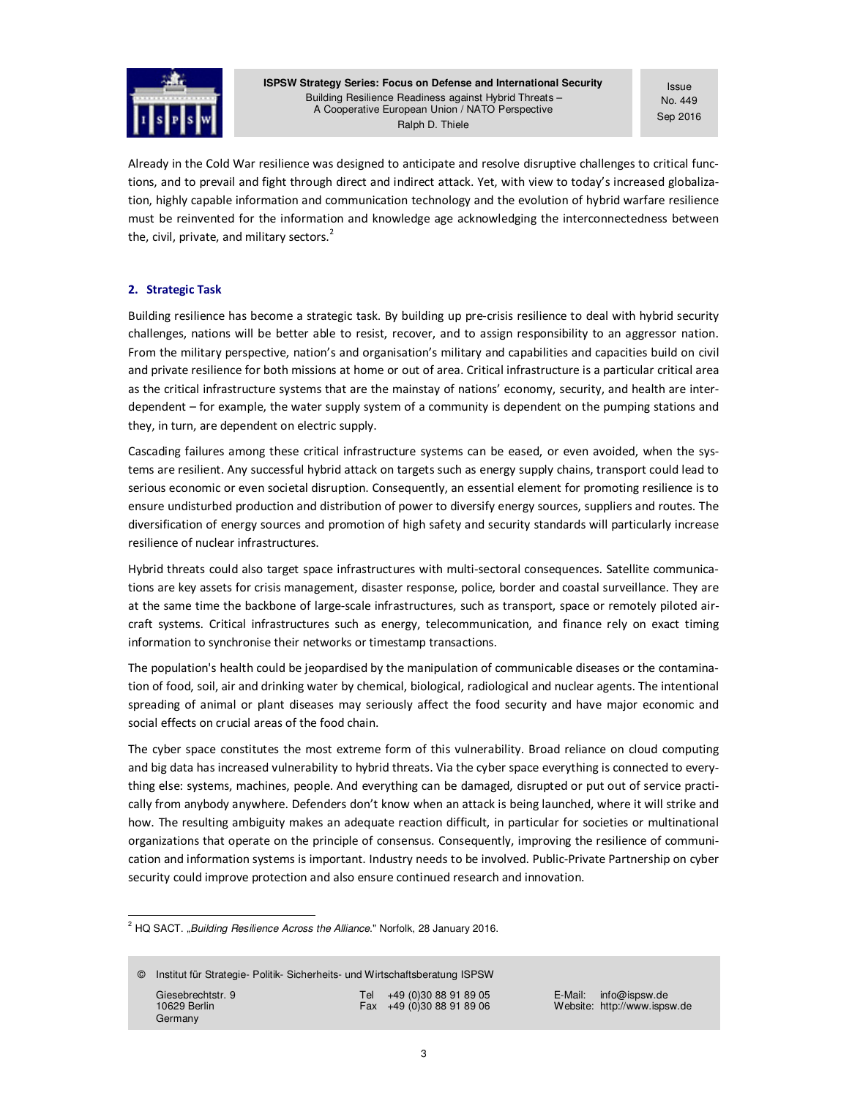

**Issue** No. 449 Sep 2016

Already in the Cold War resilience was designed to anticipate and resolve disruptive challenges to critical functions, and to prevail and fight through direct and indirect attack. Yet, with view to today's increased globalization, highly capable information and communication technology and the evolution of hybrid warfare resilience must be reinvented for the information and knowledge age acknowledging the interconnectedness between the, civil, private, and military sectors.<sup>2</sup>

# **2. Strategic Task**

Building resilience has become a strategic task. By building up pre-crisis resilience to deal with hybrid security challenges, nations will be better able to resist, recover, and to assign responsibility to an aggressor nation. From the military perspective, nation's and organisation's military and capabilities and capacities build on civil and private resilience for both missions at home or out of area. Critical infrastructure is a particular critical area as the critical infrastructure systems that are the mainstay of nations' economy, security, and health are interdependent – for example, the water supply system of a community is dependent on the pumping stations and they, in turn, are dependent on electric supply.

Cascading failures among these critical infrastructure systems can be eased, or even avoided, when the systems are resilient. Any successful hybrid attack on targets such as energy supply chains, transport could lead to serious economic or even societal disruption. Consequently, an essential element for promoting resilience is to ensure undisturbed production and distribution of power to diversify energy sources, suppliers and routes. The diversification of energy sources and promotion of high safety and security standards will particularly increase resilience of nuclear infrastructures.

Hybrid threats could also target space infrastructures with multi-sectoral consequences. Satellite communications are key assets for crisis management, disaster response, police, border and coastal surveillance. They are at the same time the backbone of large-scale infrastructures, such as transport, space or remotely piloted aircraft systems. Critical infrastructures such as energy, telecommunication, and finance rely on exact timing information to synchronise their networks or timestamp transactions.

The population's health could be jeopardised by the manipulation of communicable diseases or the contamination of food, soil, air and drinking water by chemical, biological, radiological and nuclear agents. The intentional spreading of animal or plant diseases may seriously affect the food security and have major economic and social effects on crucial areas of the food chain.

The cyber space constitutes the most extreme form of this vulnerability. Broad reliance on cloud computing and big data has increased vulnerability to hybrid threats. Via the cyber space everything is connected to everything else: systems, machines, people. And everything can be damaged, disrupted or put out of service practically from anybody anywhere. Defenders don't know when an attack is being launched, where it will strike and how. The resulting ambiguity makes an adequate reaction difficult, in particular for societies or multinational organizations that operate on the principle of consensus. Consequently, improving the resilience of communication and information systems is important. Industry needs to be involved. Public-Private Partnership on cyber security could improve protection and also ensure continued research and innovation.

© Institut für Strategie- Politik- Sicherheits- und Wirtschaftsberatung ISPSW

Germany

 $\overline{a}$ 

Giesebrechtstr. 9 Tel +49 (0)30 88 91 89 05 E-Mail: info@ispsw.de<br>10629 Berlin Fax +49 (0)30 88 91 89 06 Website: http://www.isps

<sup>&</sup>lt;sup>2</sup> HQ SACT. "Building Resilience Across the Alliance." Norfolk, 28 January 2016.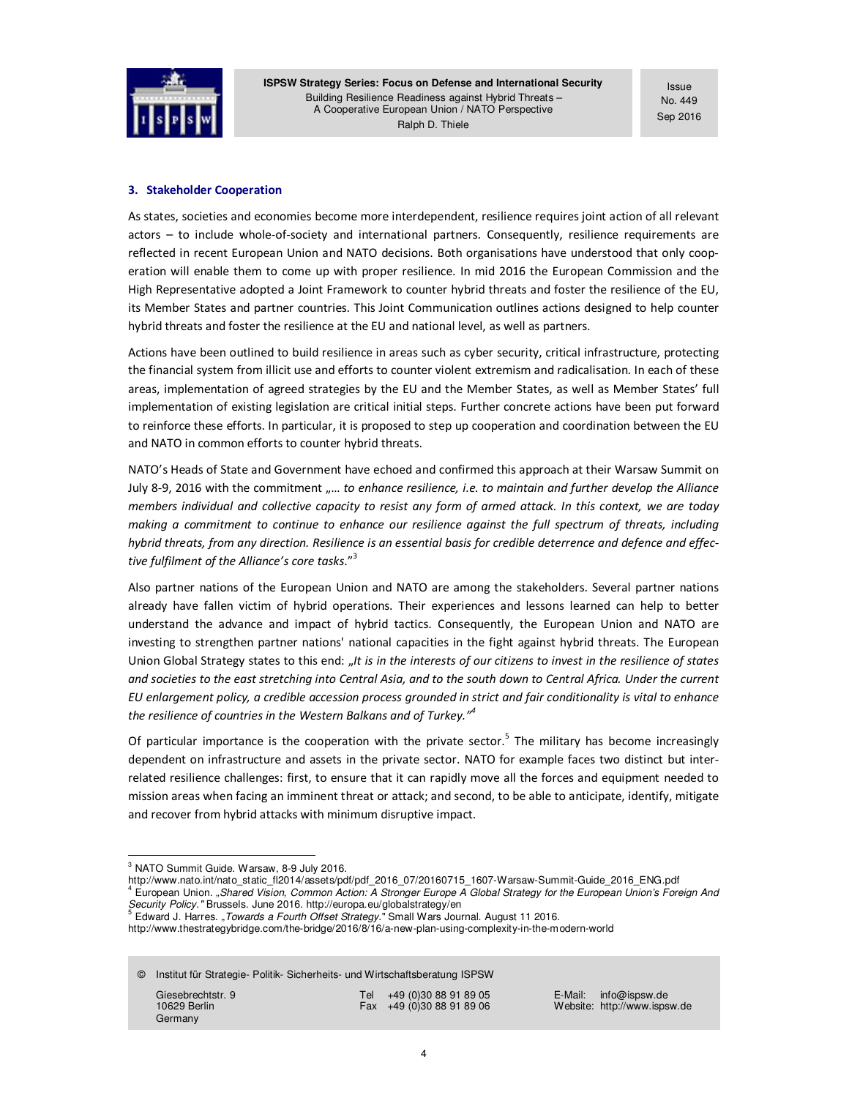

**Issue** No. 449 Sep 2016

### **3. Stakeholder Cooperation**

As states, societies and economies become more interdependent, resilience requires joint action of all relevant actors – to include whole-of-society and international partners. Consequently, resilience requirements are reflected in recent European Union and NATO decisions. Both organisations have understood that only cooperation will enable them to come up with proper resilience. In mid 2016 the European Commission and the High Representative adopted a Joint Framework to counter hybrid threats and foster the resilience of the EU, its Member States and partner countries. This Joint Communication outlines actions designed to help counter hybrid threats and foster the resilience at the EU and national level, as well as partners.

Actions have been outlined to build resilience in areas such as cyber security, critical infrastructure, protecting the financial system from illicit use and efforts to counter violent extremism and radicalisation. In each of these areas, implementation of agreed strategies by the EU and the Member States, as well as Member States' full implementation of existing legislation are critical initial steps. Further concrete actions have been put forward to reinforce these efforts. In particular, it is proposed to step up cooperation and coordination between the EU and NATO in common efforts to counter hybrid threats.

NATO's Heads of State and Government have echoed and confirmed this approach at their Warsaw Summit on July 8-9, 2016 with the commitment "... to enhance resilience, i.e. to maintain and further develop the Alliance *members individual and collective capacity to resist any form of armed attack. In this context, we are today making a commitment to continue to enhance our resilience against the full spectrum of threats, including hybrid threats, from any direction. Resilience is an essential basis for credible deterrence and defence and effective fulfilment of the Alliance's core tasks*."<sup>3</sup>

Also partner nations of the European Union and NATO are among the stakeholders. Several partner nations already have fallen victim of hybrid operations. Their experiences and lessons learned can help to better understand the advance and impact of hybrid tactics. Consequently, the European Union and NATO are investing to strengthen partner nations' national capacities in the fight against hybrid threats. The European Union Global Strategy states to this end: "*It is in the interests of our citizens to invest in the resilience of states and societies to the east stretching into Central Asia, and to the south down to Central Africa. Under the current EU enlargement policy, a credible accession process grounded in strict and fair conditionality is vital to enhance the resilience of countries in the Western Balkans and of Turkey."<sup>4</sup>*

Of particular importance is the cooperation with the private sector.<sup>5</sup> The military has become increasingly dependent on infrastructure and assets in the private sector. NATO for example faces two distinct but interrelated resilience challenges: first, to ensure that it can rapidly move all the forces and equipment needed to mission areas when facing an imminent threat or attack; and second, to be able to anticipate, identify, mitigate and recover from hybrid attacks with minimum disruptive impact.

© Institut für Strategie- Politik- Sicherheits- und Wirtschaftsberatung ISPSW

Germany

l

Giesebrechtstr. 9 Tel +49 (0)30 88 91 89 05 E-Mail: info@ispsw.de<br>10629 Berlin Fax +49 (0)30 88 91 89 06 Website: http://www.isps

<sup>&</sup>lt;sup>3</sup> NATO Summit Guide. Warsaw, 8-9 July 2016.

http://www.nato.int/nato\_static\_fl2014/assets/pdf/pdf\_2016\_07/20160715\_1607-Warsaw-Summit-Guide\_2016\_ENG.pdf 4 European Union. "*Shared Vision, Common Action: A Stronger Europe A Global Strategy for the European Union's Foreign And Security Policy."* Brussels. June 2016. http://europa.eu/globalstrategy/en

<sup>&</sup>lt;sup>5</sup> Edward J. Harres. "Towards a Fourth Offset Strategy." Small Wars Journal. August 11 2016.

http://www.thestrategybridge.com/the-bridge/2016/8/16/a-new-plan-using-complexity-in-the-modern-world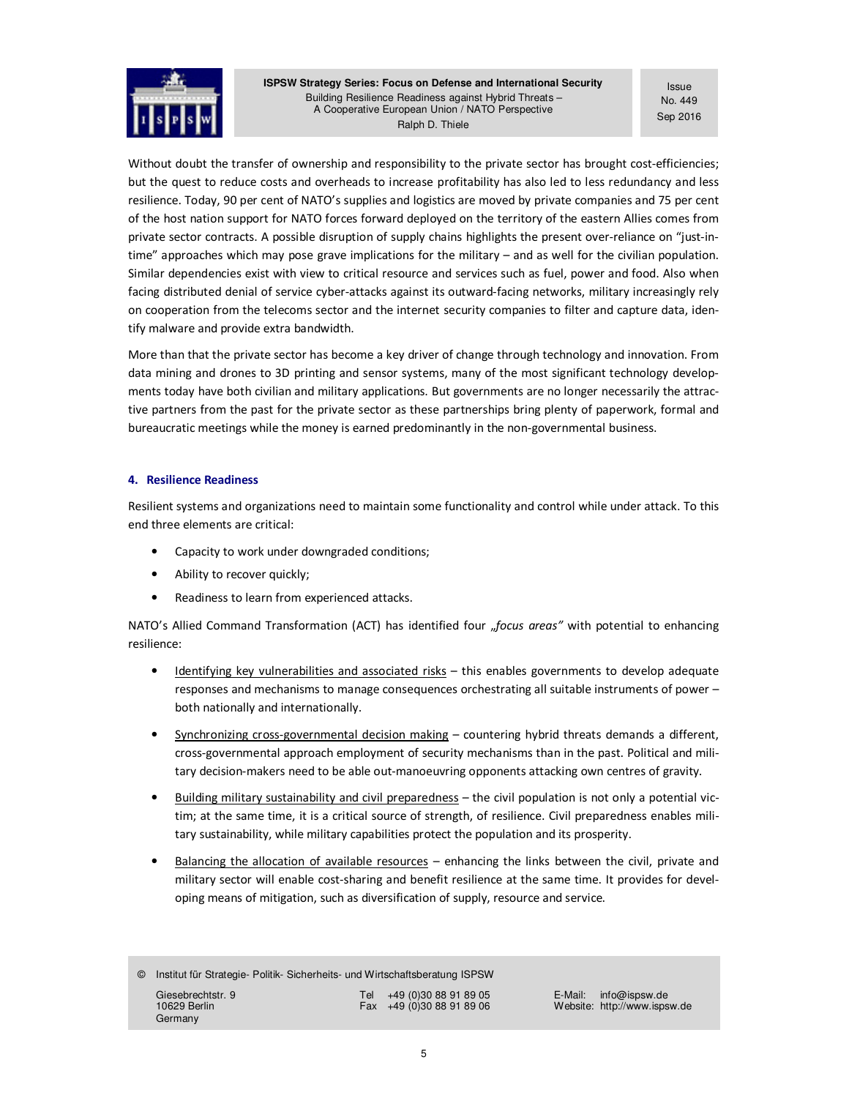

**Issue** No. 449 Sep 2016

Without doubt the transfer of ownership and responsibility to the private sector has brought cost-efficiencies; but the quest to reduce costs and overheads to increase profitability has also led to less redundancy and less resilience. Today, 90 per cent of NATO's supplies and logistics are moved by private companies and 75 per cent of the host nation support for NATO forces forward deployed on the territory of the eastern Allies comes from private sector contracts. A possible disruption of supply chains highlights the present over-reliance on "just-intime" approaches which may pose grave implications for the military – and as well for the civilian population. Similar dependencies exist with view to critical resource and services such as fuel, power and food. Also when facing distributed denial of service cyber-attacks against its outward-facing networks, military increasingly rely on cooperation from the telecoms sector and the internet security companies to filter and capture data, identify malware and provide extra bandwidth.

More than that the private sector has become a key driver of change through technology and innovation. From data mining and drones to 3D printing and sensor systems, many of the most significant technology developments today have both civilian and military applications. But governments are no longer necessarily the attractive partners from the past for the private sector as these partnerships bring plenty of paperwork, formal and bureaucratic meetings while the money is earned predominantly in the non-governmental business.

## **4. Resilience Readiness**

Resilient systems and organizations need to maintain some functionality and control while under attack. To this end three elements are critical:

- Capacity to work under downgraded conditions;
- Ability to recover quickly;
- Readiness to learn from experienced attacks.

NATO's Allied Command Transformation (ACT) has identified four "focus areas" with potential to enhancing resilience:

- Identifying key vulnerabilities and associated risks this enables governments to develop adequate responses and mechanisms to manage consequences orchestrating all suitable instruments of power – both nationally and internationally.
- Synchronizing cross-governmental decision making countering hybrid threats demands a different, cross-governmental approach employment of security mechanisms than in the past. Political and military decision-makers need to be able out-manoeuvring opponents attacking own centres of gravity.
- Building military sustainability and civil preparedness the civil population is not only a potential victim; at the same time, it is a critical source of strength, of resilience. Civil preparedness enables military sustainability, while military capabilities protect the population and its prosperity.
- Balancing the allocation of available resources enhancing the links between the civil, private and military sector will enable cost-sharing and benefit resilience at the same time. It provides for developing means of mitigation, such as diversification of supply, resource and service.

© Institut für Strategie- Politik- Sicherheits- und Wirtschaftsberatung ISPSW

Germany

Giesebrechtstr. 9 Tel +49 (0)30 88 91 89 05 E-Mail: info@ispsw.de<br>10629 Berlin Fax +49 (0)30 88 91 89 06 Website: http://www.isps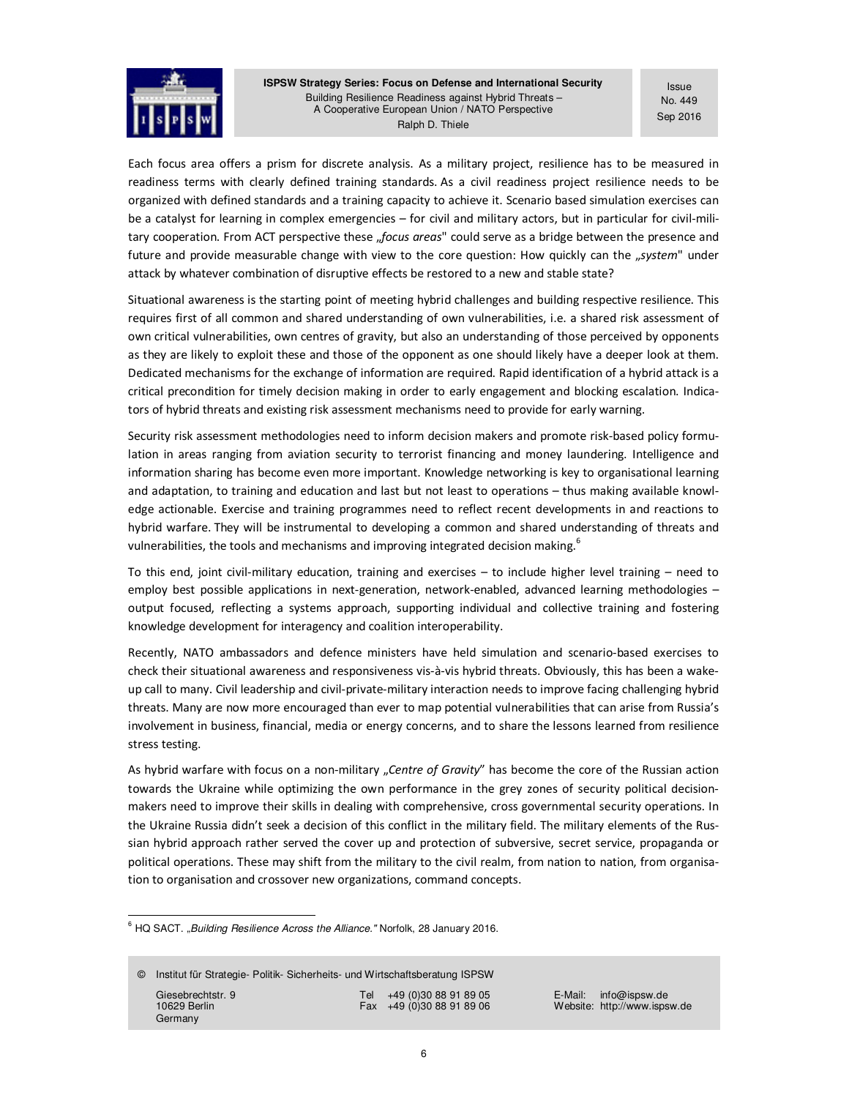

**Issue** No. 449 Sep 2016

Each focus area offers a prism for discrete analysis. As a military project, resilience has to be measured in readiness terms with clearly defined training standards. As a civil readiness project resilience needs to be organized with defined standards and a training capacity to achieve it. Scenario based simulation exercises can be a catalyst for learning in complex emergencies – for civil and military actors, but in particular for civil-military cooperation. From ACT perspective these "*focus areas*" could serve as a bridge between the presence and future and provide measurable change with view to the core question: How quickly can the "*system*" under attack by whatever combination of disruptive effects be restored to a new and stable state?

Situational awareness is the starting point of meeting hybrid challenges and building respective resilience. This requires first of all common and shared understanding of own vulnerabilities, i.e. a shared risk assessment of own critical vulnerabilities, own centres of gravity, but also an understanding of those perceived by opponents as they are likely to exploit these and those of the opponent as one should likely have a deeper look at them. Dedicated mechanisms for the exchange of information are required. Rapid identification of a hybrid attack is a critical precondition for timely decision making in order to early engagement and blocking escalation. Indicators of hybrid threats and existing risk assessment mechanisms need to provide for early warning.

Security risk assessment methodologies need to inform decision makers and promote risk-based policy formulation in areas ranging from aviation security to terrorist financing and money laundering. Intelligence and information sharing has become even more important. Knowledge networking is key to organisational learning and adaptation, to training and education and last but not least to operations – thus making available knowledge actionable. Exercise and training programmes need to reflect recent developments in and reactions to hybrid warfare. They will be instrumental to developing a common and shared understanding of threats and vulnerabilities, the tools and mechanisms and improving integrated decision making.<sup>6</sup>

To this end, joint civil-military education, training and exercises – to include higher level training – need to employ best possible applications in next-generation, network-enabled, advanced learning methodologies – output focused, reflecting a systems approach, supporting individual and collective training and fostering knowledge development for interagency and coalition interoperability.

Recently, NATO ambassadors and defence ministers have held simulation and scenario-based exercises to check their situational awareness and responsiveness vis-à-vis hybrid threats. Obviously, this has been a wakeup call to many. Civil leadership and civil-private-military interaction needs to improve facing challenging hybrid threats. Many are now more encouraged than ever to map potential vulnerabilities that can arise from Russia's involvement in business, financial, media or energy concerns, and to share the lessons learned from resilience stress testing.

As hybrid warfare with focus on a non-military "Centre of Gravity" has become the core of the Russian action towards the Ukraine while optimizing the own performance in the grey zones of security political decisionmakers need to improve their skills in dealing with comprehensive, cross governmental security operations. In the Ukraine Russia didn't seek a decision of this conflict in the military field. The military elements of the Russian hybrid approach rather served the cover up and protection of subversive, secret service, propaganda or political operations. These may shift from the military to the civil realm, from nation to nation, from organisation to organisation and crossover new organizations, command concepts.

6 HQ SACT. "*Building Resilience Across the Alliance."* Norfolk, 28 January 2016.

© Institut für Strategie- Politik- Sicherheits- und Wirtschaftsberatung ISPSW

Germany

 $\overline{a}$ 

Giesebrechtstr. 9 Tel +49 (0)30 88 91 89 05 E-Mail: info@ispsw.de<br>10629 Berlin Fax +49 (0)30 88 91 89 06 Website: http://www.isps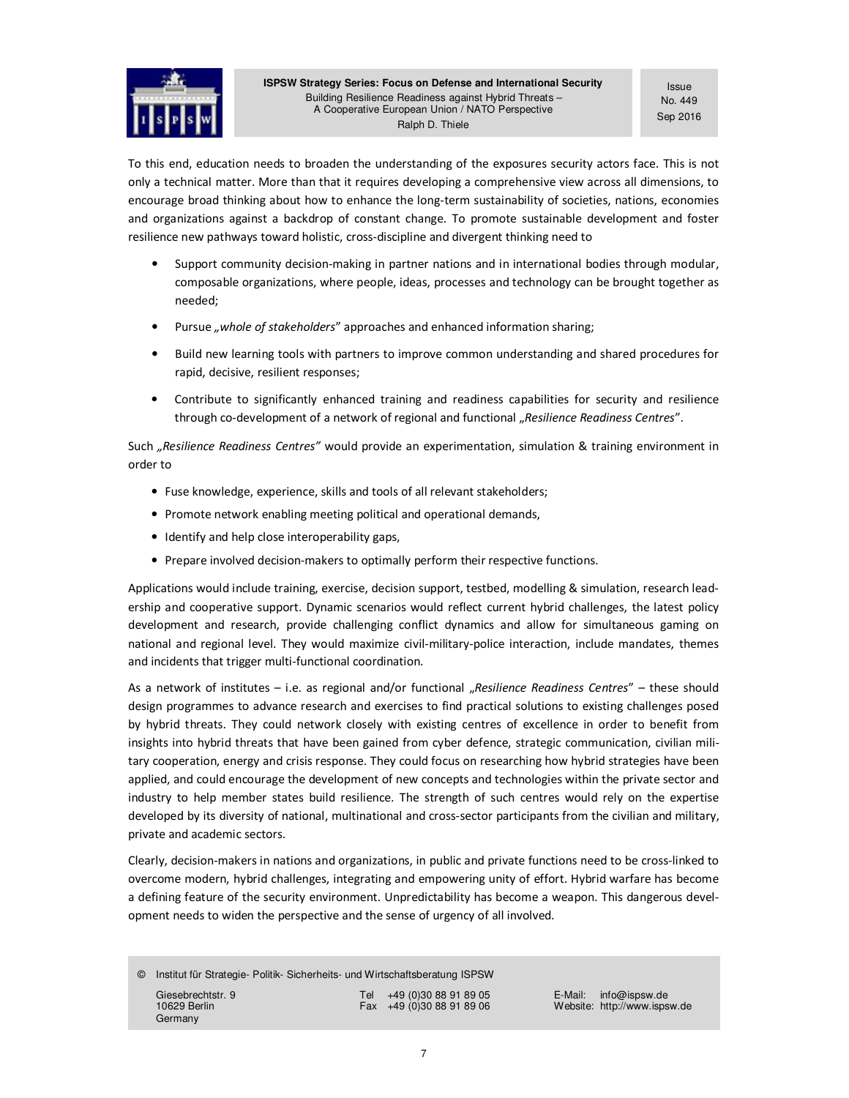

**Issue** No. 449 Sep 2016

To this end, education needs to broaden the understanding of the exposures security actors face. This is not only a technical matter. More than that it requires developing a comprehensive view across all dimensions, to encourage broad thinking about how to enhance the long-term sustainability of societies, nations, economies and organizations against a backdrop of constant change. To promote sustainable development and foster resilience new pathways toward holistic, cross-discipline and divergent thinking need to

- Support community decision-making in partner nations and in international bodies through modular, composable organizations, where people, ideas, processes and technology can be brought together as needed;
- Pursue "whole of stakeholders" approaches and enhanced information sharing;
- Build new learning tools with partners to improve common understanding and shared procedures for rapid, decisive, resilient responses;
- Contribute to significantly enhanced training and readiness capabilities for security and resilience through co-development of a network of regional and functional "Resilience Readiness Centres".

Such *"Resilience Readiness Centres"* would provide an experimentation, simulation & training environment in order to

- Fuse knowledge, experience, skills and tools of all relevant stakeholders;
- Promote network enabling meeting political and operational demands,
- Identify and help close interoperability gaps,
- Prepare involved decision-makers to optimally perform their respective functions.

Applications would include training, exercise, decision support, testbed, modelling & simulation, research leadership and cooperative support. Dynamic scenarios would reflect current hybrid challenges, the latest policy development and research, provide challenging conflict dynamics and allow for simultaneous gaming on national and regional level. They would maximize civil-military-police interaction, include mandates, themes and incidents that trigger multi-functional coordination.

As a network of institutes – i.e. as regional and/or functional "*Resilience Readiness Centres*" – these should design programmes to advance research and exercises to find practical solutions to existing challenges posed by hybrid threats. They could network closely with existing centres of excellence in order to benefit from insights into hybrid threats that have been gained from cyber defence, strategic communication, civilian military cooperation, energy and crisis response. They could focus on researching how hybrid strategies have been applied, and could encourage the development of new concepts and technologies within the private sector and industry to help member states build resilience. The strength of such centres would rely on the expertise developed by its diversity of national, multinational and cross-sector participants from the civilian and military, private and academic sectors.

Clearly, decision-makers in nations and organizations, in public and private functions need to be cross-linked to overcome modern, hybrid challenges, integrating and empowering unity of effort. Hybrid warfare has become a defining feature of the security environment. Unpredictability has become a weapon. This dangerous development needs to widen the perspective and the sense of urgency of all involved.

© Institut für Strategie- Politik- Sicherheits- und Wirtschaftsberatung ISPSW

Germany

Giesebrechtstr. 9 Tel +49 (0)30 88 91 89 05 E-Mail: info@ispsw.de<br>10629 Berlin Fax +49 (0)30 88 91 89 06 Website: http://www.isps